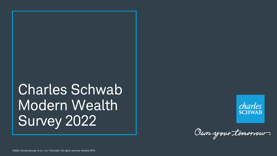# Charles Schwab Modern Wealth Survey 2022



Oun your tomorrow.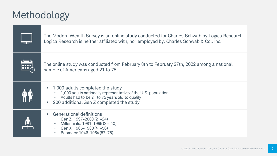## Methodology

|              | The Modern Wealth Survey is an online study conducted for Charles Schwab by Logica Research.<br>Logica Research is neither affiliated with, nor employed by, Charles Schwab & Co., Inc.         |
|--------------|-------------------------------------------------------------------------------------------------------------------------------------------------------------------------------------------------|
|              | The online study was conducted from February 8th to February 27th, 2022 among a national<br>sample of Americans aged 21 to 75.                                                                  |
| $\mathbf{u}$ | 1,000 adults completed the study<br>1,000 adults nationally representative of the U.S. population<br>Adults had to be 21 to 75 years old to qualify<br>200 additional Gen Z completed the study |
|              | Generational definitions<br>Gen Z: 1997-2000 (21-24)<br>Millennials: 1981-1996 (25-40)<br>Gen X: 1965-1980 (41-56)<br>Boomers: 1946-1964 (57-75)                                                |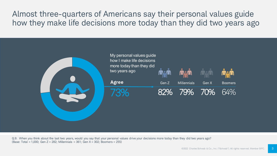### Almost three-quarters of Americans say their personal values guide how they make life decisions more today than they did two years ago



Q.9: When you think about the last two years, would you say that your personal values drive your decisions more today than they did two years ago? (Base: Total = 1,000; Gen Z = 282; Millennials = 361; Gen X = 302; Boomers = 255)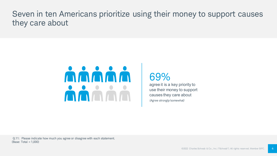### Seven in ten Americans prioritize using their money to support causes they care about



69%

agree it is a key priority to use their money to support causes they care about *(Agree strongly/somewhat)*

Q.11: Please indicate how much you agree or disagree with each statement. (Base: Total = 1,000)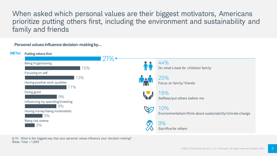When asked which personal values are their biggest motivators, Americans prioritize putting others first, including the environment and sustainability and family and friends

#### **Personal values influence decision-making by…**



Q.10: What is the biggest way that your personal values influence your decision-making? (Base: Total = 1,000)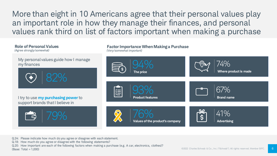More than eight in 10 Americans agree that their personal values play an important role in how they manage their finances, and personal values rank third on list of factors important when making a purchase

#### **Role of Personal Values Factor Importance When Making a Purchase** *(Agree strongly/somewhat)(Very/somewhat important)* My personal values guide how I manage 94% 74% my finances **Where product is made The price** 67% 组 I try to use **my purchasing power** to **Brand name Product features** support brands that I believe in 41%  $\boldsymbol{\zeta}$ **Values of the product's company Advertising**

Q.24: Please indicate how much do you agree or disagree with each statement.

Q.18: How much do you agree or disagree with the following statements?

Q.20: How important are each of the following factors when making a purchase (e.g. A car, electronics, clothes)?

(Base: Total = 1,000)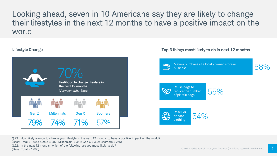Looking ahead, seven in 10 Americans say they are likely to change their lifestyles in the next 12 months to have a positive impact on the world



#### **Top 3 things most likely to do in next 12 months**



Make a purchase at a locally owned store or

54%

58%



Resell or donate clothing

Q.23: How likely are you to change your lifestyle in the next 12 months to have a positive impact on the world? (Base: Total = 1,000; Gen Z = 282; Millennials = 361; Gen X = 302; Boomers = 255) Q.22: In the next 12 months, which of the following are you most likely to do? (Base: Total = 1,000)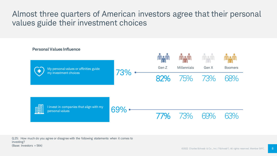### Almost three quarters of American investors agree that their personal values guide their investment choices



Q.25: How much do you agree or disagree with the following statements when it comes to investing?  $(Base: Investors = 564)$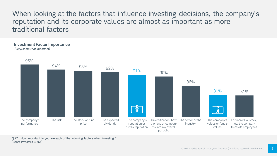When looking at the factors that influence investing decisions, the company's reputation and its corporate values are almost as important as more traditional factors

#### **Investment Factor Importance**

*(Very/somewhat important)*



Q.27: How important to you are each of the following factors when investing ?  $(Base: Investors = 564)$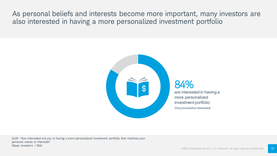As personal beliefs and interests become more important, many investors are also interested in having a more personalized investment portfolio



84% are interested in having a more personalized investment portfolio *(Very/somewhat interested)*

Q.29: How interested are you in having a more personalized investment portfolio that matches your personal values or interests? (Base: Investors = 564)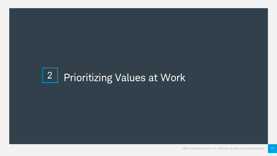# **2 Prioritizing Values at Work**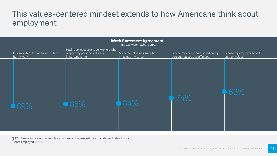### This values-centered mindset extends to how Americans think about employment

| <b>Work Statement Agreement</b><br>(Strongly/somewhat agree) |                                                        |                                                                                          |                                                    |                                                                      |                                              |  |  |
|--------------------------------------------------------------|--------------------------------------------------------|------------------------------------------------------------------------------------------|----------------------------------------------------|----------------------------------------------------------------------|----------------------------------------------|--|--|
|                                                              | It is important for me to feel fulfilled<br>by my work | Having colleagues and co-workers who<br>respect my personal values is<br>important to me | My personal values guide how<br>I manage my career | I chose my career path based on my<br>personal values and affinities | I chose my employer based<br>on their values |  |  |
|                                                              | 89%                                                    | 85%                                                                                      | 84%                                                | 74%                                                                  | 63%                                          |  |  |

Q.17: Please indicate how much you agree or disagree with each statement about work. (Base: Employed = 618)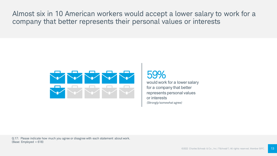Almost six in 10 American workers would accept a lower salary to work for a company that better represents their personal values or interests





would work for a lower salary for a company that better represents personal values or interests *(Strongly/somewhat agree)*

Q.17: Please indicate how much you agree or disagree with each statement about work.  $(Base: Emploved = 618)$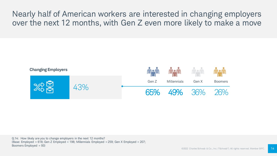Nearly half of American workers are interested in changing employers over the next 12 months, with Gen Z even more likely to make a move



Q.14: How likely are you to change employers in the next 12 months? (Base: Employed = 618; Gen Z Employed = 198; Millennials Employed = 259; Gen X Employed = 207; Boomers Employed = 93)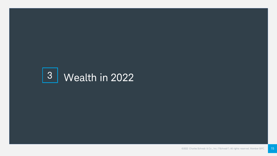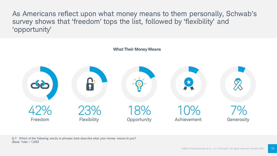As Americans reflect upon what money means to them personally, Schwab's survey shows that 'freedom' tops the list, followed by 'flexibility' and 'opportunity'



Q.7: Which of the following words or phrases best describe what your money means to you? (Base: Total = 1,000)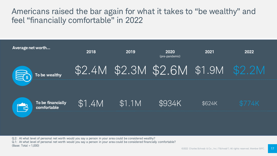### Americans raised the bar again for what it takes to "be wealthy" and feel "financially comfortable" in 2022



Q.2: At what level of personal net worth would you say a person in your area could be considered wealthy? Q.1: At what level of personal net worth would you say a person in your area could be considered financially comfortable?  $(Base: Total = 1.000)$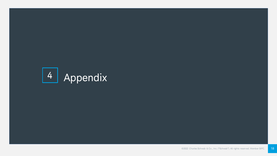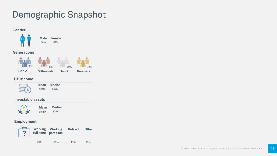## Demographic Snapshot



#### **Employment**